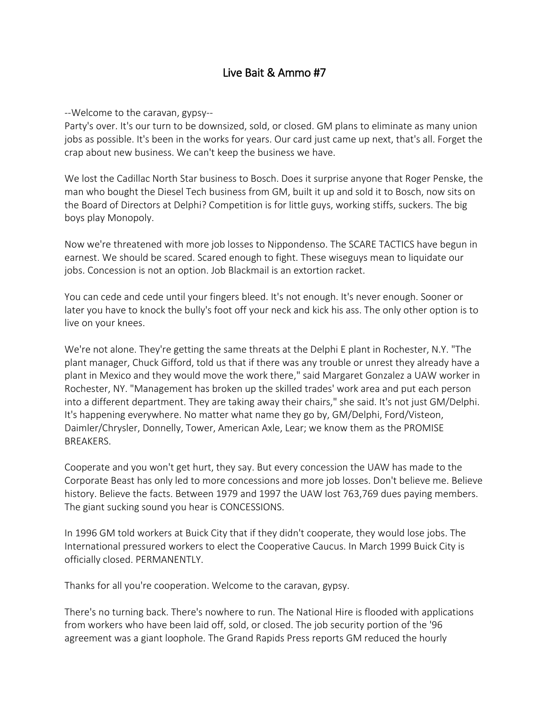## Live Bait & Ammo #7

--Welcome to the caravan, gypsy--

Party's over. It's our turn to be downsized, sold, or closed. GM plans to eliminate as many union jobs as possible. It's been in the works for years. Our card just came up next, that's all. Forget the crap about new business. We can't keep the business we have.

We lost the Cadillac North Star business to Bosch. Does it surprise anyone that Roger Penske, the man who bought the Diesel Tech business from GM, built it up and sold it to Bosch, now sits on the Board of Directors at Delphi? Competition is for little guys, working stiffs, suckers. The big boys play Monopoly.

Now we're threatened with more job losses to Nippondenso. The SCARE TACTICS have begun in earnest. We should be scared. Scared enough to fight. These wiseguys mean to liquidate our jobs. Concession is not an option. Job Blackmail is an extortion racket.

You can cede and cede until your fingers bleed. It's not enough. It's never enough. Sooner or later you have to knock the bully's foot off your neck and kick his ass. The only other option is to live on your knees.

We're not alone. They're getting the same threats at the Delphi E plant in Rochester, N.Y. "The plant manager, Chuck Gifford, told us that if there was any trouble or unrest they already have a plant in Mexico and they would move the work there," said Margaret Gonzalez a UAW worker in Rochester, NY. "Management has broken up the skilled trades' work area and put each person into a different department. They are taking away their chairs," she said. It's not just GM/Delphi. It's happening everywhere. No matter what name they go by, GM/Delphi, Ford/Visteon, Daimler/Chrysler, Donnelly, Tower, American Axle, Lear; we know them as the PROMISE BREAKERS.

Cooperate and you won't get hurt, they say. But every concession the UAW has made to the Corporate Beast has only led to more concessions and more job losses. Don't believe me. Believe history. Believe the facts. Between 1979 and 1997 the UAW lost 763,769 dues paying members. The giant sucking sound you hear is CONCESSIONS.

In 1996 GM told workers at Buick City that if they didn't cooperate, they would lose jobs. The International pressured workers to elect the Cooperative Caucus. In March 1999 Buick City is officially closed. PERMANENTLY.

Thanks for all you're cooperation. Welcome to the caravan, gypsy.

There's no turning back. There's nowhere to run. The National Hire is flooded with applications from workers who have been laid off, sold, or closed. The job security portion of the '96 agreement was a giant loophole. The Grand Rapids Press reports GM reduced the hourly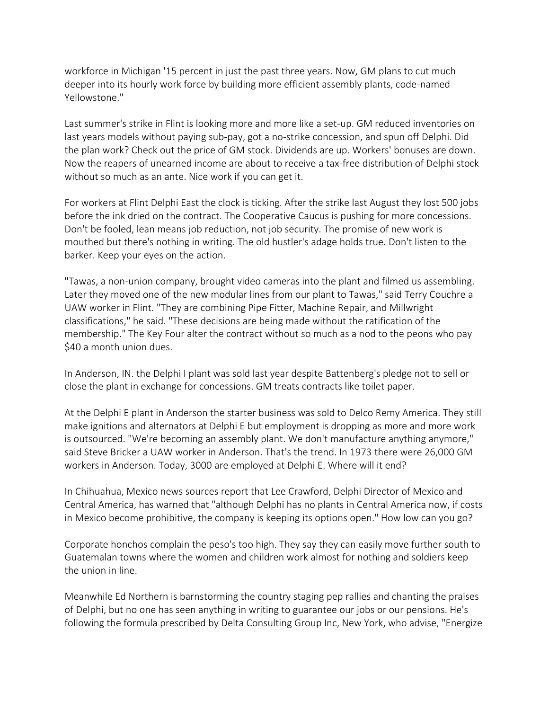workforce in Michigan '15 percent in just the past three years. Now, GM plans to cut much deeper into its hourly work force by building more efficient assembly plants, code-named Yellowstone<sup>"</sup>

Last summer's strike in Flint is looking more and more like a set-up. GM reduced inventories on last years models without paying sub-pay, got a no-strike concession, and spun off Delphi. Did the plan work? Check out the price of GM stock. Dividends are up. Workers' bonuses are down. Now the reapers of unearned income are about to receive a tax-free distribution of Delphi stock without so much as an ante. Nice work if you can get it.

For workers at Flint Delphi East the clock is ticking. After the strike last August they lost 500 jobs before the ink dried on the contract. The Cooperative Caucus is pushing for more concessions. Don't be fooled, lean means job reduction, not job security. The promise of new work is mouthed but there's nothing in writing. The old hustler's adage holds true. Don't listen to the barker. Keep your eyes on the action.

"Tawas, a non-union company, brought video cameras into the plant and filmed us assembling. Later they moved one of the new modular lines from our plant to Tawas," said Terry Couchre a UAW worker in Flint. "They are combining Pipe Fitter, Machine Repair, and Millwright classifications," he said. "These decisions are being made without the ratification of the membership." The Key Four alter the contract without so much as a nod to the peons who pay \$40 a month union dues.

In Anderson, IN. the Delphi I plant was sold last year despite Battenberg's pledge not to sell or close the plant in exchange for concessions. GM treats contracts like toilet paper.

At the Delphi E plant in Anderson the starter business was sold to Delco Remy America. They still make ignitions and alternators at Delphi E but employment is dropping as more and more work is outsourced. "We're becoming an assembly plant. We don't manufacture anything anymore," said Steve Bricker a UAW worker in Anderson. That's the trend. In 1973 there were 26,000 GM workers in Anderson. Today, 3000 are employed at Delphi E. Where will it end?

In Chihuahua, Mexico news sources report that Lee Crawford, Delphi Director of Mexico and Central America, has warned that "although Delphi has no plants in Central America now, if costs in Mexico become prohibitive, the company is keeping its options open." How low can you go?

Corporate honchos complain the peso's too high. They say they can easily move further south to Guatemalan towns where the women and children work almost for nothing and soldiers keep the union in line.

Meanwhile Ed Northern is barnstorming the country staging pep rallies and chanting the praises of Delphi, but no one has seen anything in writing to guarantee our jobs or our pensions. He's following the formula prescribed by Delta Consulting Group Inc, New York, who advise, "Energize